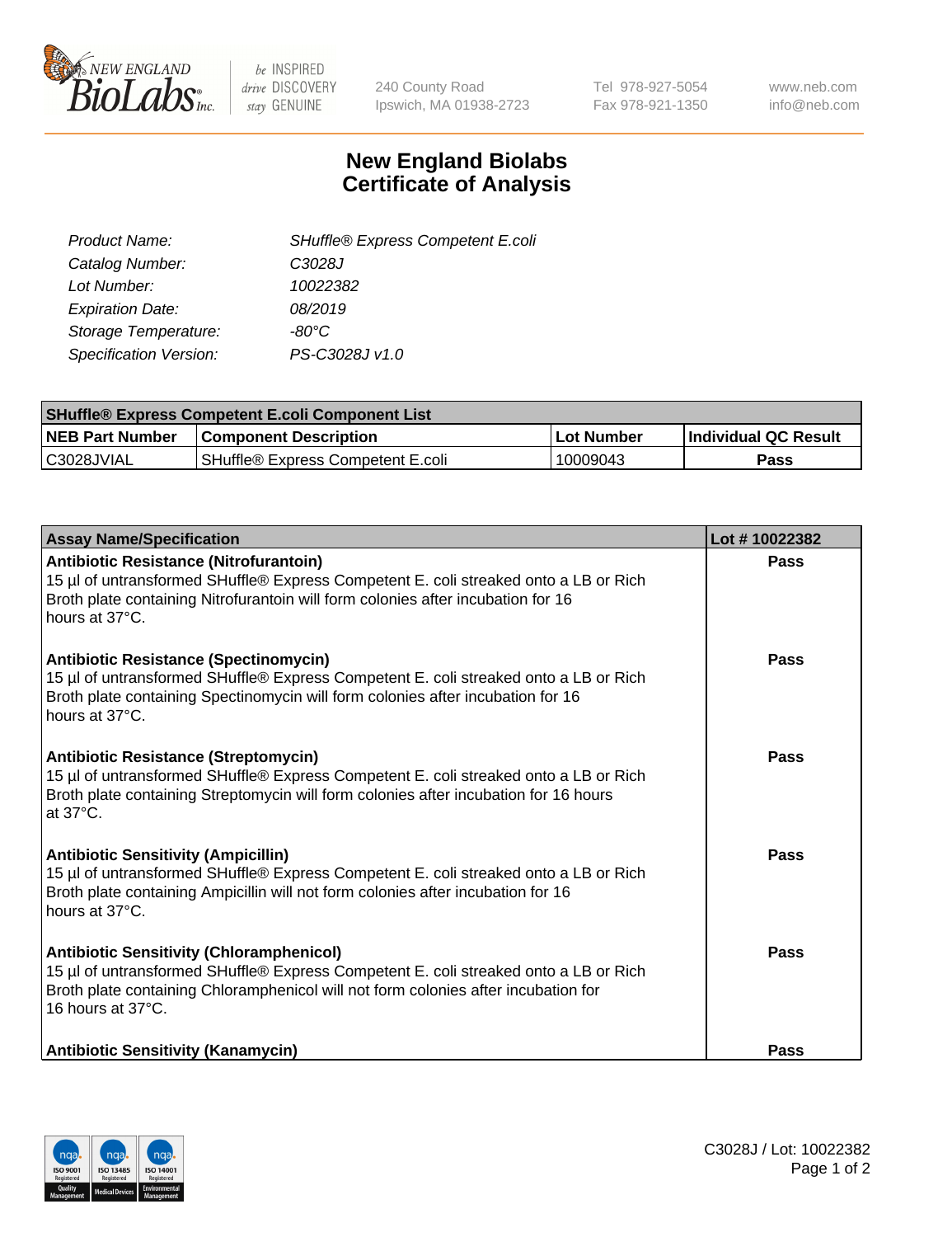

be INSPIRED drive DISCOVERY stay GENUINE

240 County Road Ipswich, MA 01938-2723 Tel 978-927-5054 Fax 978-921-1350 www.neb.com info@neb.com

## **New England Biolabs Certificate of Analysis**

| SHuffle® Express Competent E.coli |
|-----------------------------------|
| C3028J                            |
| 10022382                          |
| 08/2019                           |
| -80°C                             |
| PS-C3028J v1.0                    |
|                                   |

| <b>SHuffle® Express Competent E.coli Component List</b> |                                   |                   |                             |  |
|---------------------------------------------------------|-----------------------------------|-------------------|-----------------------------|--|
| <b>NEB Part Number</b>                                  | <b>Component Description</b>      | <b>Lot Number</b> | <b>Individual QC Result</b> |  |
| C3028JVIAL                                              | SHuffle® Express Competent E.coli | 10009043          | Pass                        |  |

| <b>Assay Name/Specification</b>                                                                                                                                                                                                                    | Lot #10022382 |
|----------------------------------------------------------------------------------------------------------------------------------------------------------------------------------------------------------------------------------------------------|---------------|
| Antibiotic Resistance (Nitrofurantoin)<br>15 µl of untransformed SHuffle® Express Competent E. coli streaked onto a LB or Rich<br>Broth plate containing Nitrofurantoin will form colonies after incubation for 16<br>hours at 37°C.               | Pass          |
| <b>Antibiotic Resistance (Spectinomycin)</b><br>15 µl of untransformed SHuffle® Express Competent E. coli streaked onto a LB or Rich<br>Broth plate containing Spectinomycin will form colonies after incubation for 16<br>hours at 37°C.          | Pass          |
| <b>Antibiotic Resistance (Streptomycin)</b><br>15 µl of untransformed SHuffle® Express Competent E. coli streaked onto a LB or Rich<br>Broth plate containing Streptomycin will form colonies after incubation for 16 hours<br>at 37°C.            | <b>Pass</b>   |
| <b>Antibiotic Sensitivity (Ampicillin)</b><br>15 µl of untransformed SHuffle® Express Competent E. coli streaked onto a LB or Rich<br>Broth plate containing Ampicillin will not form colonies after incubation for 16<br>hours at 37°C.           | Pass          |
| <b>Antibiotic Sensitivity (Chloramphenicol)</b><br>15 µl of untransformed SHuffle® Express Competent E. coli streaked onto a LB or Rich<br>Broth plate containing Chloramphenicol will not form colonies after incubation for<br>16 hours at 37°C. | <b>Pass</b>   |
| <b>Antibiotic Sensitivity (Kanamycin)</b>                                                                                                                                                                                                          | <b>Pass</b>   |